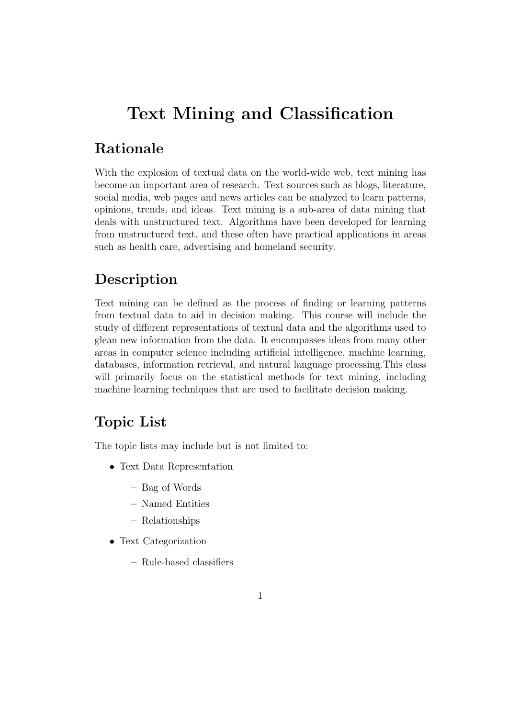# Text Mining and Classification

#### Rationale

With the explosion of textual data on the world-wide web, text mining has become an important area of research. Text sources such as blogs, literature, social media, web pages and news articles can be analyzed to learn patterns, opinions, trends, and ideas. Text mining is a sub-area of data mining that deals with unstructured text. Algorithms have been developed for learning from unstructured text, and these often have practical applications in areas such as health care, advertising and homeland security.

### Description

Text mining can be defined as the process of finding or learning patterns from textual data to aid in decision making. This course will include the study of different representations of textual data and the algorithms used to glean new information from the data. It encompasses ideas from many other areas in computer science including artificial intelligence, machine learning, databases, information retrieval, and natural language processing.This class will primarily focus on the statistical methods for text mining, including machine learning techniques that are used to facilitate decision making.

#### Topic List

The topic lists may include but is not limited to:

- Text Data Representation
	- Bag of Words
	- Named Entities
	- Relationships
- Text Categorization
	- Rule-based classifiers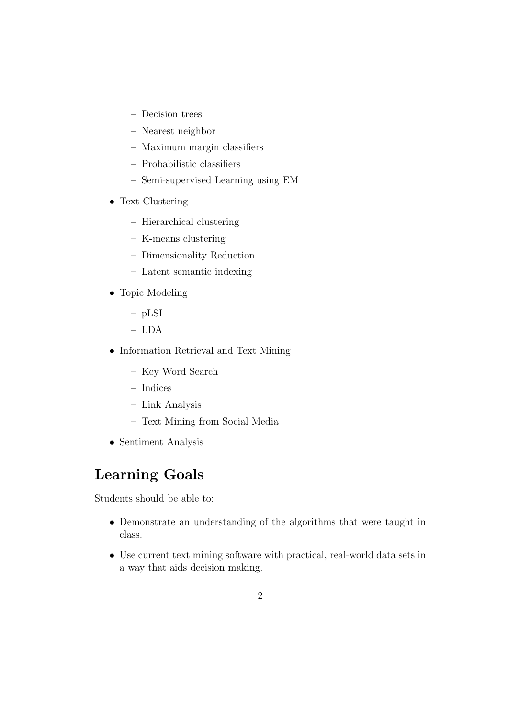- Decision trees
- Nearest neighbor
- Maximum margin classifiers
- Probabilistic classifiers
- Semi-supervised Learning using EM
- Text Clustering
	- Hierarchical clustering
	- K-means clustering
	- Dimensionality Reduction
	- Latent semantic indexing
- Topic Modeling
	- pLSI
	- LDA
- Information Retrieval and Text Mining
	- Key Word Search
	- Indices
	- Link Analysis
	- Text Mining from Social Media
- Sentiment Analysis

## Learning Goals

Students should be able to:

- Demonstrate an understanding of the algorithms that were taught in class.
- Use current text mining software with practical, real-world data sets in a way that aids decision making.